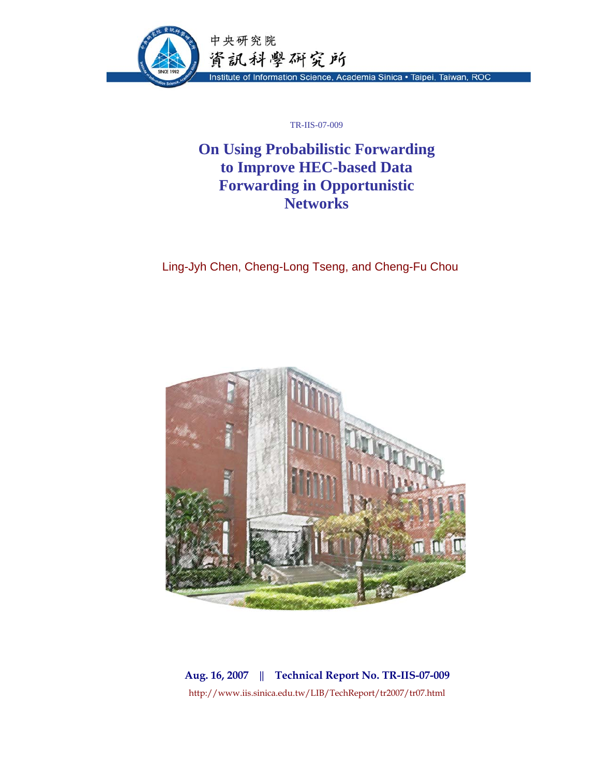

TR-IIS-07-009

## **On Using Probabilistic Forwarding to Improve HEC-based Data Forwarding in Opportunistic Networks**

Ling-Jyh Chen, Cheng-Long Tseng, and Cheng-Fu Chou



**Aug. 16, 2007 || Technical Report No. TR-IIS-07-009**  http://www.iis.sinica.edu.tw/LIB/TechReport/tr2007/tr07.html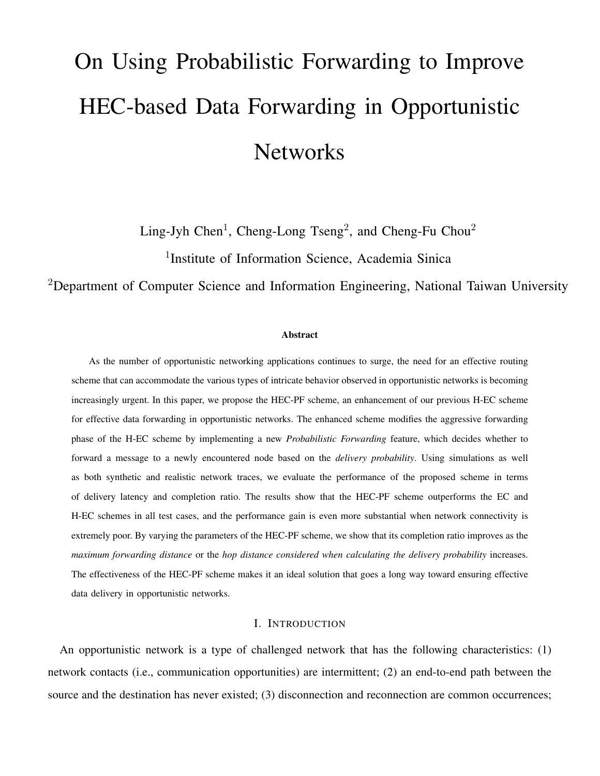# On Using Probabilistic Forwarding to Improve HEC-based Data Forwarding in Opportunistic **Networks**

Ling-Jyh Chen<sup>1</sup>, Cheng-Long Tseng<sup>2</sup>, and Cheng-Fu Chou<sup>2</sup>

<sup>1</sup>Institute of Information Science, Academia Sinica

<sup>2</sup>Department of Computer Science and Information Engineering, National Taiwan University

#### Abstract

As the number of opportunistic networking applications continues to surge, the need for an effective routing scheme that can accommodate the various types of intricate behavior observed in opportunistic networks is becoming increasingly urgent. In this paper, we propose the HEC-PF scheme, an enhancement of our previous H-EC scheme for effective data forwarding in opportunistic networks. The enhanced scheme modifies the aggressive forwarding phase of the H-EC scheme by implementing a new *Probabilistic Forwarding* feature, which decides whether to forward a message to a newly encountered node based on the *delivery probability*. Using simulations as well as both synthetic and realistic network traces, we evaluate the performance of the proposed scheme in terms of delivery latency and completion ratio. The results show that the HEC-PF scheme outperforms the EC and H-EC schemes in all test cases, and the performance gain is even more substantial when network connectivity is extremely poor. By varying the parameters of the HEC-PF scheme, we show that its completion ratio improves as the *maximum forwarding distance* or the *hop distance considered when calculating the delivery probability* increases. The effectiveness of the HEC-PF scheme makes it an ideal solution that goes a long way toward ensuring effective data delivery in opportunistic networks.

#### I. INTRODUCTION

An opportunistic network is a type of challenged network that has the following characteristics: (1) network contacts (i.e., communication opportunities) are intermittent; (2) an end-to-end path between the source and the destination has never existed; (3) disconnection and reconnection are common occurrences;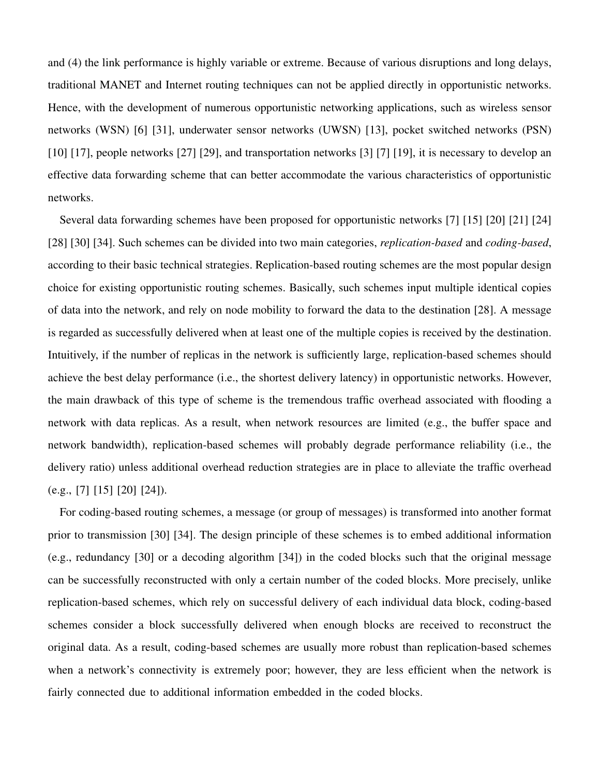and (4) the link performance is highly variable or extreme. Because of various disruptions and long delays, traditional MANET and Internet routing techniques can not be applied directly in opportunistic networks. Hence, with the development of numerous opportunistic networking applications, such as wireless sensor networks (WSN) [6] [31], underwater sensor networks (UWSN) [13], pocket switched networks (PSN) [10] [17], people networks [27] [29], and transportation networks [3] [7] [19], it is necessary to develop an effective data forwarding scheme that can better accommodate the various characteristics of opportunistic networks.

Several data forwarding schemes have been proposed for opportunistic networks [7] [15] [20] [21] [24] [28] [30] [34]. Such schemes can be divided into two main categories, *replication-based* and *coding-based*, according to their basic technical strategies. Replication-based routing schemes are the most popular design choice for existing opportunistic routing schemes. Basically, such schemes input multiple identical copies of data into the network, and rely on node mobility to forward the data to the destination [28]. A message is regarded as successfully delivered when at least one of the multiple copies is received by the destination. Intuitively, if the number of replicas in the network is sufficiently large, replication-based schemes should achieve the best delay performance (i.e., the shortest delivery latency) in opportunistic networks. However, the main drawback of this type of scheme is the tremendous traffic overhead associated with flooding a network with data replicas. As a result, when network resources are limited (e.g., the buffer space and network bandwidth), replication-based schemes will probably degrade performance reliability (i.e., the delivery ratio) unless additional overhead reduction strategies are in place to alleviate the traffic overhead (e.g., [7] [15] [20] [24]).

For coding-based routing schemes, a message (or group of messages) is transformed into another format prior to transmission [30] [34]. The design principle of these schemes is to embed additional information (e.g., redundancy [30] or a decoding algorithm [34]) in the coded blocks such that the original message can be successfully reconstructed with only a certain number of the coded blocks. More precisely, unlike replication-based schemes, which rely on successful delivery of each individual data block, coding-based schemes consider a block successfully delivered when enough blocks are received to reconstruct the original data. As a result, coding-based schemes are usually more robust than replication-based schemes when a network's connectivity is extremely poor; however, they are less efficient when the network is fairly connected due to additional information embedded in the coded blocks.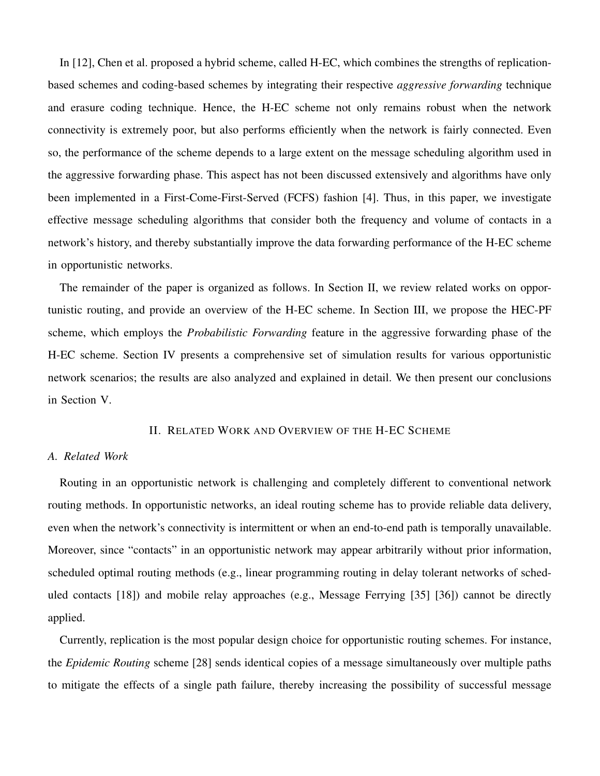In [12], Chen et al. proposed a hybrid scheme, called H-EC, which combines the strengths of replicationbased schemes and coding-based schemes by integrating their respective *aggressive forwarding* technique and erasure coding technique. Hence, the H-EC scheme not only remains robust when the network connectivity is extremely poor, but also performs efficiently when the network is fairly connected. Even so, the performance of the scheme depends to a large extent on the message scheduling algorithm used in the aggressive forwarding phase. This aspect has not been discussed extensively and algorithms have only been implemented in a First-Come-First-Served (FCFS) fashion [4]. Thus, in this paper, we investigate effective message scheduling algorithms that consider both the frequency and volume of contacts in a network's history, and thereby substantially improve the data forwarding performance of the H-EC scheme in opportunistic networks.

The remainder of the paper is organized as follows. In Section II, we review related works on opportunistic routing, and provide an overview of the H-EC scheme. In Section III, we propose the HEC-PF scheme, which employs the *Probabilistic Forwarding* feature in the aggressive forwarding phase of the H-EC scheme. Section IV presents a comprehensive set of simulation results for various opportunistic network scenarios; the results are also analyzed and explained in detail. We then present our conclusions in Section V.

#### II. RELATED WORK AND OVERVIEW OF THE H-EC SCHEME

#### *A. Related Work*

Routing in an opportunistic network is challenging and completely different to conventional network routing methods. In opportunistic networks, an ideal routing scheme has to provide reliable data delivery, even when the network's connectivity is intermittent or when an end-to-end path is temporally unavailable. Moreover, since "contacts" in an opportunistic network may appear arbitrarily without prior information, scheduled optimal routing methods (e.g., linear programming routing in delay tolerant networks of scheduled contacts [18]) and mobile relay approaches (e.g., Message Ferrying [35] [36]) cannot be directly applied.

Currently, replication is the most popular design choice for opportunistic routing schemes. For instance, the *Epidemic Routing* scheme [28] sends identical copies of a message simultaneously over multiple paths to mitigate the effects of a single path failure, thereby increasing the possibility of successful message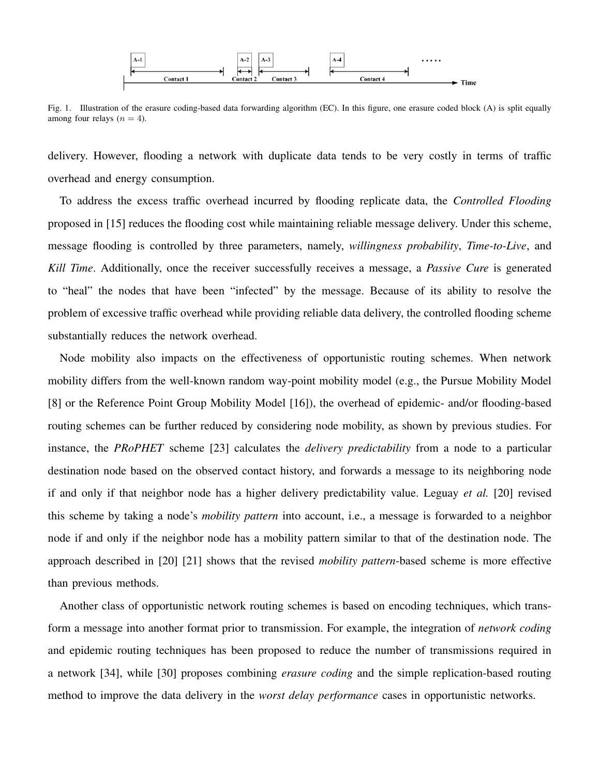

Fig. 1. Illustration of the erasure coding-based data forwarding algorithm (EC). In this figure, one erasure coded block (A) is split equally among four relays  $(n = 4)$ .

delivery. However, flooding a network with duplicate data tends to be very costly in terms of traffic overhead and energy consumption.

To address the excess traffic overhead incurred by flooding replicate data, the *Controlled Flooding* proposed in [15] reduces the flooding cost while maintaining reliable message delivery. Under this scheme, message flooding is controlled by three parameters, namely, *willingness probability*, *Time-to-Live*, and *Kill Time*. Additionally, once the receiver successfully receives a message, a *Passive Cure* is generated to "heal" the nodes that have been "infected" by the message. Because of its ability to resolve the problem of excessive traffic overhead while providing reliable data delivery, the controlled flooding scheme substantially reduces the network overhead.

Node mobility also impacts on the effectiveness of opportunistic routing schemes. When network mobility differs from the well-known random way-point mobility model (e.g., the Pursue Mobility Model [8] or the Reference Point Group Mobility Model [16]), the overhead of epidemic- and/or flooding-based routing schemes can be further reduced by considering node mobility, as shown by previous studies. For instance, the *PRoPHET* scheme [23] calculates the *delivery predictability* from a node to a particular destination node based on the observed contact history, and forwards a message to its neighboring node if and only if that neighbor node has a higher delivery predictability value. Leguay *et al.* [20] revised this scheme by taking a node's *mobility pattern* into account, i.e., a message is forwarded to a neighbor node if and only if the neighbor node has a mobility pattern similar to that of the destination node. The approach described in [20] [21] shows that the revised *mobility pattern*-based scheme is more effective than previous methods.

Another class of opportunistic network routing schemes is based on encoding techniques, which transform a message into another format prior to transmission. For example, the integration of *network coding* and epidemic routing techniques has been proposed to reduce the number of transmissions required in a network [34], while [30] proposes combining *erasure coding* and the simple replication-based routing method to improve the data delivery in the *worst delay performance* cases in opportunistic networks.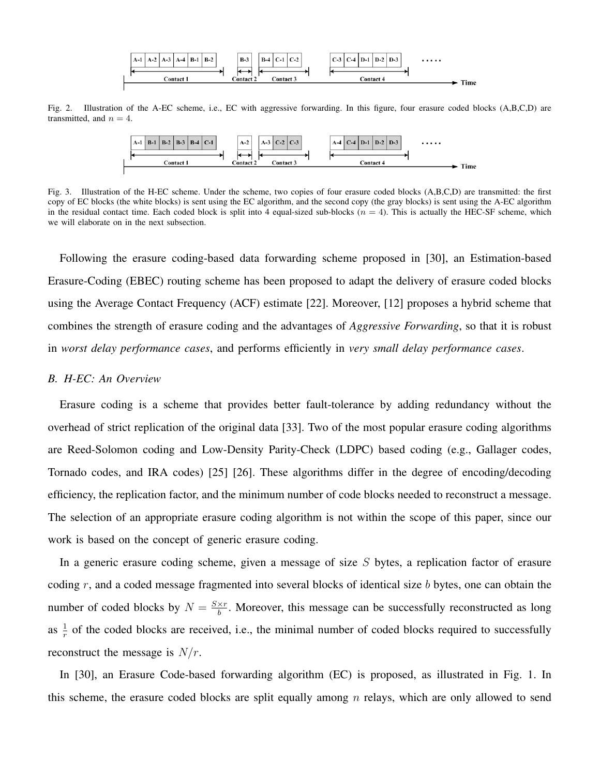

Fig. 2. Illustration of the A-EC scheme, i.e., EC with aggressive forwarding. In this figure, four erasure coded blocks (A,B,C,D) are transmitted, and  $n = 4$ .



Fig. 3. Illustration of the H-EC scheme. Under the scheme, two copies of four erasure coded blocks (A,B,C,D) are transmitted: the first copy of EC blocks (the white blocks) is sent using the EC algorithm, and the second copy (the gray blocks) is sent using the A-EC algorithm in the residual contact time. Each coded block is split into 4 equal-sized sub-blocks ( $n = 4$ ). This is actually the HEC-SF scheme, which we will elaborate on in the next subsection.

Following the erasure coding-based data forwarding scheme proposed in [30], an Estimation-based Erasure-Coding (EBEC) routing scheme has been proposed to adapt the delivery of erasure coded blocks using the Average Contact Frequency (ACF) estimate [22]. Moreover, [12] proposes a hybrid scheme that combines the strength of erasure coding and the advantages of *Aggressive Forwarding*, so that it is robust in *worst delay performance cases*, and performs efficiently in *very small delay performance cases*.

#### *B. H-EC: An Overview*

Erasure coding is a scheme that provides better fault-tolerance by adding redundancy without the overhead of strict replication of the original data [33]. Two of the most popular erasure coding algorithms are Reed-Solomon coding and Low-Density Parity-Check (LDPC) based coding (e.g., Gallager codes, Tornado codes, and IRA codes) [25] [26]. These algorithms differ in the degree of encoding/decoding efficiency, the replication factor, and the minimum number of code blocks needed to reconstruct a message. The selection of an appropriate erasure coding algorithm is not within the scope of this paper, since our work is based on the concept of generic erasure coding.

In a generic erasure coding scheme, given a message of size  $S$  bytes, a replication factor of erasure coding r, and a coded message fragmented into several blocks of identical size b bytes, one can obtain the number of coded blocks by  $N = \frac{S \times r}{h}$  $\frac{\partial \mathcal{L}}{\partial b}$ . Moreover, this message can be successfully reconstructed as long as  $\frac{1}{r}$  of the coded blocks are received, i.e., the minimal number of coded blocks required to successfully reconstruct the message is  $N/r$ .

In [30], an Erasure Code-based forwarding algorithm (EC) is proposed, as illustrated in Fig. 1. In this scheme, the erasure coded blocks are split equally among  $n$  relays, which are only allowed to send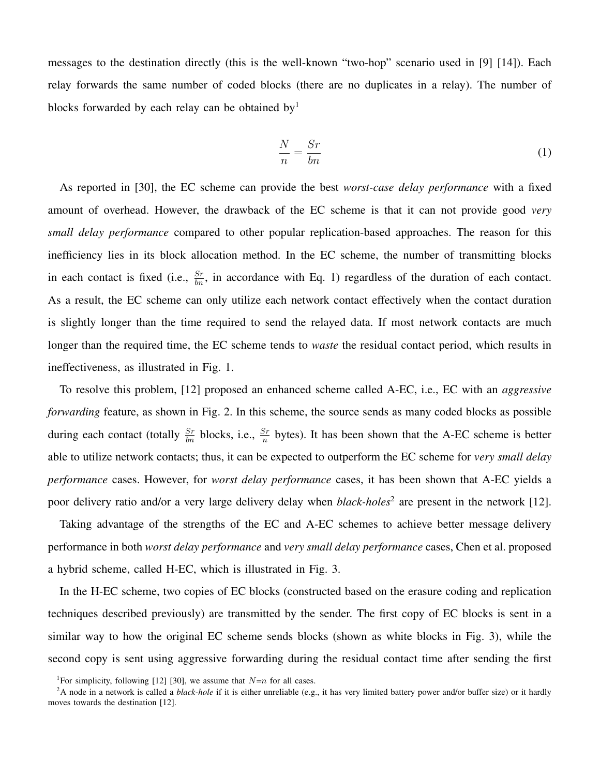messages to the destination directly (this is the well-known "two-hop" scenario used in [9] [14]). Each relay forwards the same number of coded blocks (there are no duplicates in a relay). The number of blocks forwarded by each relay can be obtained by<sup>1</sup>

$$
\frac{N}{n} = \frac{Sr}{bn} \tag{1}
$$

As reported in [30], the EC scheme can provide the best *worst-case delay performance* with a fixed amount of overhead. However, the drawback of the EC scheme is that it can not provide good *very small delay performance* compared to other popular replication-based approaches. The reason for this inefficiency lies in its block allocation method. In the EC scheme, the number of transmitting blocks in each contact is fixed (i.e.,  $\frac{Sr}{bn}$ , in accordance with Eq. 1) regardless of the duration of each contact. As a result, the EC scheme can only utilize each network contact effectively when the contact duration is slightly longer than the time required to send the relayed data. If most network contacts are much longer than the required time, the EC scheme tends to *waste* the residual contact period, which results in ineffectiveness, as illustrated in Fig. 1.

To resolve this problem, [12] proposed an enhanced scheme called A-EC, i.e., EC with an *aggressive forwarding* feature, as shown in Fig. 2. In this scheme, the source sends as many coded blocks as possible during each contact (totally  $\frac{Sr}{bn}$  blocks, i.e.,  $\frac{Sr}{n}$  bytes). It has been shown that the A-EC scheme is better able to utilize network contacts; thus, it can be expected to outperform the EC scheme for *very small delay performance* cases. However, for *worst delay performance* cases, it has been shown that A-EC yields a poor delivery ratio and/or a very large delivery delay when *black-holes*<sup>2</sup> are present in the network [12].

Taking advantage of the strengths of the EC and A-EC schemes to achieve better message delivery performance in both *worst delay performance* and *very small delay performance* cases, Chen et al. proposed a hybrid scheme, called H-EC, which is illustrated in Fig. 3.

In the H-EC scheme, two copies of EC blocks (constructed based on the erasure coding and replication techniques described previously) are transmitted by the sender. The first copy of EC blocks is sent in a similar way to how the original EC scheme sends blocks (shown as white blocks in Fig. 3), while the second copy is sent using aggressive forwarding during the residual contact time after sending the first

<sup>&</sup>lt;sup>1</sup>For simplicity, following [12] [30], we assume that  $N=n$  for all cases.

<sup>&</sup>lt;sup>2</sup>A node in a network is called a *black-hole* if it is either unreliable (e.g., it has very limited battery power and/or buffer size) or it hardly moves towards the destination [12].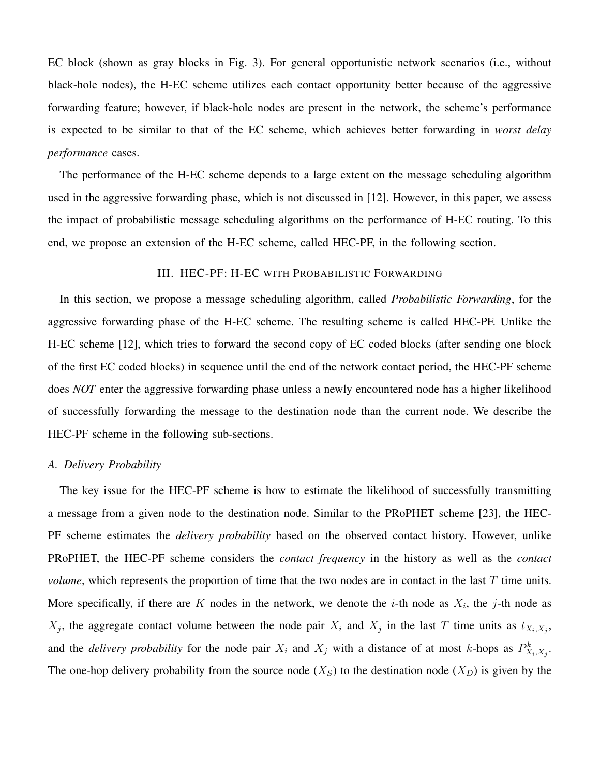EC block (shown as gray blocks in Fig. 3). For general opportunistic network scenarios (i.e., without black-hole nodes), the H-EC scheme utilizes each contact opportunity better because of the aggressive forwarding feature; however, if black-hole nodes are present in the network, the scheme's performance is expected to be similar to that of the EC scheme, which achieves better forwarding in *worst delay performance* cases.

The performance of the H-EC scheme depends to a large extent on the message scheduling algorithm used in the aggressive forwarding phase, which is not discussed in [12]. However, in this paper, we assess the impact of probabilistic message scheduling algorithms on the performance of H-EC routing. To this end, we propose an extension of the H-EC scheme, called HEC-PF, in the following section.

#### III. HEC-PF: H-EC WITH PROBABILISTIC FORWARDING

In this section, we propose a message scheduling algorithm, called *Probabilistic Forwarding*, for the aggressive forwarding phase of the H-EC scheme. The resulting scheme is called HEC-PF. Unlike the H-EC scheme [12], which tries to forward the second copy of EC coded blocks (after sending one block of the first EC coded blocks) in sequence until the end of the network contact period, the HEC-PF scheme does *NOT* enter the aggressive forwarding phase unless a newly encountered node has a higher likelihood of successfully forwarding the message to the destination node than the current node. We describe the HEC-PF scheme in the following sub-sections.

#### *A. Delivery Probability*

The key issue for the HEC-PF scheme is how to estimate the likelihood of successfully transmitting a message from a given node to the destination node. Similar to the PRoPHET scheme [23], the HEC-PF scheme estimates the *delivery probability* based on the observed contact history. However, unlike PRoPHET, the HEC-PF scheme considers the *contact frequency* in the history as well as the *contact volume*, which represents the proportion of time that the two nodes are in contact in the last T time units. More specifically, if there are K nodes in the network, we denote the *i*-th node as  $X_i$ , the *j*-th node as  $X_j$ , the aggregate contact volume between the node pair  $X_i$  and  $X_j$  in the last T time units as  $t_{X_i,X_j}$ , and the *delivery probability* for the node pair  $X_i$  and  $X_j$  with a distance of at most k-hops as  $P_{X_i,X_j}^k$ . The one-hop delivery probability from the source node  $(X_S)$  to the destination node  $(X_D)$  is given by the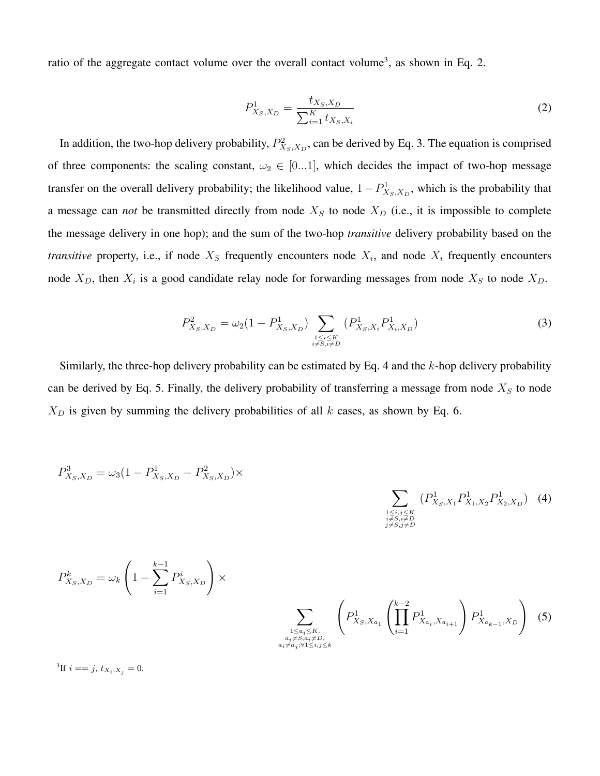ratio of the aggregate contact volume over the overall contact volume<sup>3</sup>, as shown in Eq. 2.

$$
P_{X_S, X_D}^1 = \frac{t_{X_S, X_D}}{\sum_{i=1}^K t_{X_S, X_i}}\tag{2}
$$

In addition, the two-hop delivery probability,  $P_{X_S,X_D}^2$ , can be derived by Eq. 3. The equation is comprised of three components: the scaling constant,  $\omega_2 \in [0...1]$ , which decides the impact of two-hop message transfer on the overall delivery probability; the likelihood value,  $1 - P_{X_s,X_D}^1$ , which is the probability that a message can *not* be transmitted directly from node  $X<sub>S</sub>$  to node  $X<sub>D</sub>$  (i.e., it is impossible to complete the message delivery in one hop); and the sum of the two-hop *transitive* delivery probability based on the *transitive* property, i.e., if node  $X_s$  frequently encounters node  $X_i$ , and node  $X_i$  frequently encounters node  $X_D$ , then  $X_i$  is a good candidate relay node for forwarding messages from node  $X_S$  to node  $X_D$ .

$$
P_{X_S, X_D}^2 = \omega_2 (1 - P_{X_S, X_D}^1) \sum_{\substack{1 \le i \le K \\ i \ne S, i \ne D}} (P_{X_S, X_i}^1 P_{X_i, X_D}^1) \tag{3}
$$

Similarly, the three-hop delivery probability can be estimated by Eq. 4 and the  $k$ -hop delivery probability can be derived by Eq. 5. Finally, the delivery probability of transferring a message from node  $X<sub>S</sub>$  to node  $X_D$  is given by summing the delivery probabilities of all k cases, as shown by Eq. 6.

$$
P_{X_S, X_D}^3 = \omega_3 (1 - P_{X_S, X_D}^1 - P_{X_S, X_D}^2) \times \sum_{\substack{1 \le i, j \le K \\ i \ne S, i \ne D \\ j \ne S, j \ne D}} (P_{X_S, X_1}^1 P_{X_1, X_2}^1 P_{X_2, X_D}^1) \tag{4}
$$

$$
P_{X_S, X_D}^k = \omega_k \left( 1 - \sum_{i=1}^{k-1} P_{X_S, X_D}^i \right) \times \sum_{\substack{1 \le a_i \le K, \\ a_i \neq s, a_i \neq D, \\ a_i \neq a_j; \forall 1 \le i, j \le k}} \left( P_{X_S, X_{a_1}}^1 \left( \prod_{i=1}^{k-2} P_{X_{a_i}, X_{a_{i+1}}}^1 \right) P_{X_{a_{k-1}}, X_D}^1 \right) \tag{5}
$$

<sup>3</sup>If  $i == j$ ,  $t_{X_i, X_j} = 0$ .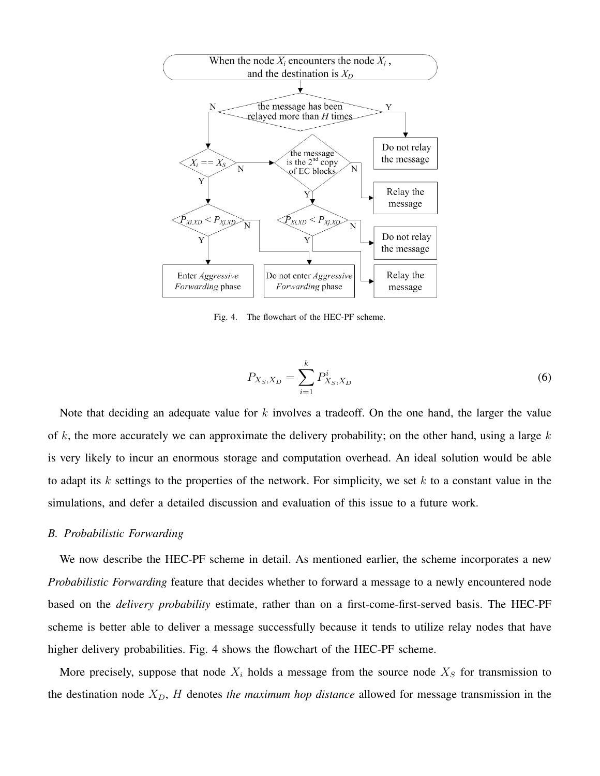

Fig. 4. The flowchart of the HEC-PF scheme.

$$
P_{X_S, X_D} = \sum_{i=1}^{k} P_{X_S, X_D}^i
$$
 (6)

Note that deciding an adequate value for k involves a tradeoff. On the one hand, the larger the value of k, the more accurately we can approximate the delivery probability; on the other hand, using a large  $k$ is very likely to incur an enormous storage and computation overhead. An ideal solution would be able to adapt its k settings to the properties of the network. For simplicity, we set k to a constant value in the simulations, and defer a detailed discussion and evaluation of this issue to a future work.

#### *B. Probabilistic Forwarding*

We now describe the HEC-PF scheme in detail. As mentioned earlier, the scheme incorporates a new *Probabilistic Forwarding* feature that decides whether to forward a message to a newly encountered node based on the *delivery probability* estimate, rather than on a first-come-first-served basis. The HEC-PF scheme is better able to deliver a message successfully because it tends to utilize relay nodes that have higher delivery probabilities. Fig. 4 shows the flowchart of the HEC-PF scheme.

More precisely, suppose that node  $X_i$  holds a message from the source node  $X_s$  for transmission to the destination node  $X_D$ , H denotes *the maximum hop distance* allowed for message transmission in the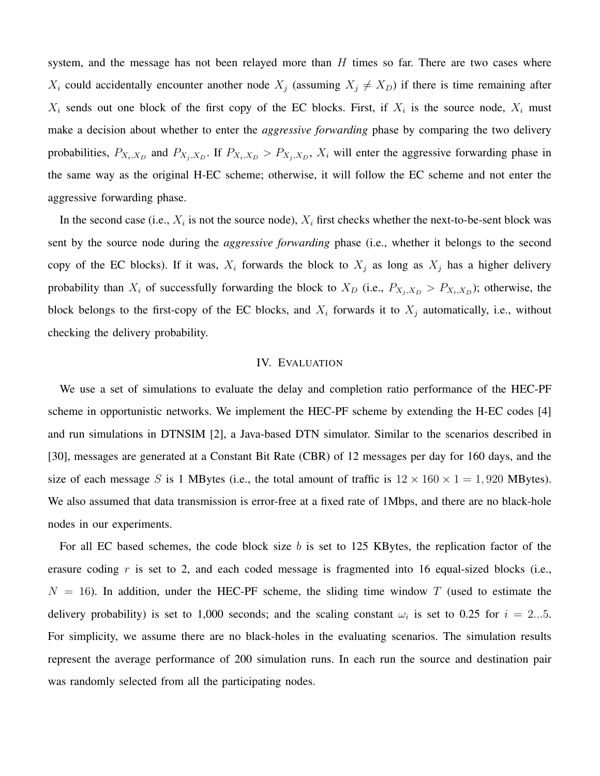system, and the message has not been relayed more than  $H$  times so far. There are two cases where  $X_i$  could accidentally encounter another node  $X_j$  (assuming  $X_j \neq X_D$ ) if there is time remaining after  $X_i$  sends out one block of the first copy of the EC blocks. First, if  $X_i$  is the source node,  $X_i$  must make a decision about whether to enter the *aggressive forwarding* phase by comparing the two delivery probabilities,  $P_{X_i,X_D}$  and  $P_{X_j,X_D}$ . If  $P_{X_i,X_D} > P_{X_j,X_D}$ ,  $X_i$  will enter the aggressive forwarding phase in the same way as the original H-EC scheme; otherwise, it will follow the EC scheme and not enter the aggressive forwarding phase.

In the second case (i.e.,  $X_i$  is not the source node),  $X_i$  first checks whether the next-to-be-sent block was sent by the source node during the *aggressive forwarding* phase (i.e., whether it belongs to the second copy of the EC blocks). If it was,  $X_i$  forwards the block to  $X_j$  as long as  $X_j$  has a higher delivery probability than  $X_i$  of successfully forwarding the block to  $X_D$  (i.e.,  $P_{X_i,X_D} > P_{X_i,X_D}$ ); otherwise, the block belongs to the first-copy of the EC blocks, and  $X_i$  forwards it to  $X_j$  automatically, i.e., without checking the delivery probability.

### IV. EVALUATION

We use a set of simulations to evaluate the delay and completion ratio performance of the HEC-PF scheme in opportunistic networks. We implement the HEC-PF scheme by extending the H-EC codes [4] and run simulations in DTNSIM [2], a Java-based DTN simulator. Similar to the scenarios described in [30], messages are generated at a Constant Bit Rate (CBR) of 12 messages per day for 160 days, and the size of each message S is 1 MBytes (i.e., the total amount of traffic is  $12 \times 160 \times 1 = 1,920$  MBytes). We also assumed that data transmission is error-free at a fixed rate of 1Mbps, and there are no black-hole nodes in our experiments.

For all EC based schemes, the code block size b is set to 125 KBytes, the replication factor of the erasure coding  $r$  is set to 2, and each coded message is fragmented into 16 equal-sized blocks (i.e.,  $N = 16$ ). In addition, under the HEC-PF scheme, the sliding time window T (used to estimate the delivery probability) is set to 1,000 seconds; and the scaling constant  $\omega_i$  is set to 0.25 for  $i = 2...5$ . For simplicity, we assume there are no black-holes in the evaluating scenarios. The simulation results represent the average performance of 200 simulation runs. In each run the source and destination pair was randomly selected from all the participating nodes.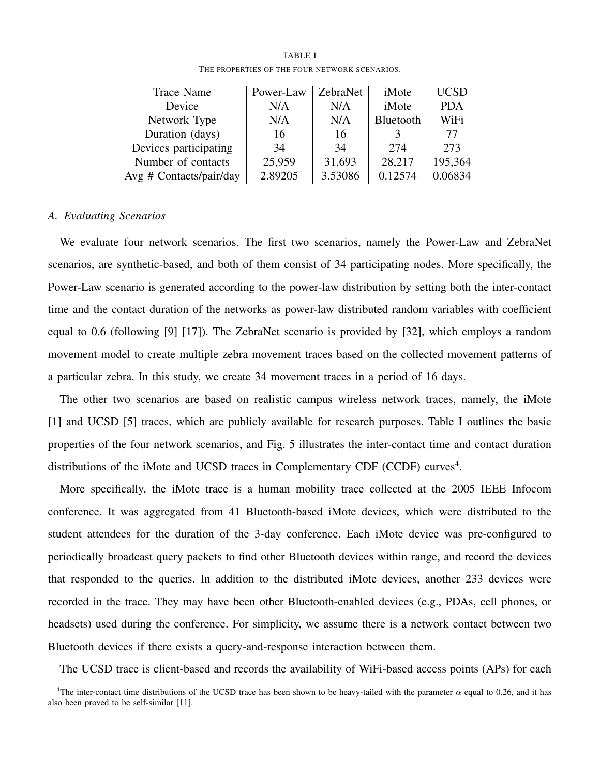| Trace Name              | Power-Law | ZebraNet | iMote       | <b>UCSD</b> |
|-------------------------|-----------|----------|-------------|-------------|
| Device                  | N/A       | N/A      | iMote       | <b>PDA</b>  |
| Network Type            | N/A       | N/A      | Bluetooth   | WiFi        |
| Duration (days)         | 16        | 16       | $\mathbf 3$ | 77          |
| Devices participating   | 34        | 34       | 2.74        | 273         |
| Number of contacts      | 25,959    | 31,693   | 28,217      | 195,364     |
| Avg # Contacts/pair/day | 2.89205   | 3.53086  | 0.12574     | 0.06834     |

TABLE I THE PROPERTIES OF THE FOUR NETWORK SCENARIOS.

#### *A. Evaluating Scenarios*

We evaluate four network scenarios. The first two scenarios, namely the Power-Law and ZebraNet scenarios, are synthetic-based, and both of them consist of 34 participating nodes. More specifically, the Power-Law scenario is generated according to the power-law distribution by setting both the inter-contact time and the contact duration of the networks as power-law distributed random variables with coefficient equal to 0.6 (following [9] [17]). The ZebraNet scenario is provided by [32], which employs a random movement model to create multiple zebra movement traces based on the collected movement patterns of a particular zebra. In this study, we create 34 movement traces in a period of 16 days.

The other two scenarios are based on realistic campus wireless network traces, namely, the iMote [1] and UCSD [5] traces, which are publicly available for research purposes. Table I outlines the basic properties of the four network scenarios, and Fig. 5 illustrates the inter-contact time and contact duration distributions of the iMote and UCSD traces in Complementary CDF (CCDF) curves<sup>4</sup>.

More specifically, the iMote trace is a human mobility trace collected at the 2005 IEEE Infocom conference. It was aggregated from 41 Bluetooth-based iMote devices, which were distributed to the student attendees for the duration of the 3-day conference. Each iMote device was pre-configured to periodically broadcast query packets to find other Bluetooth devices within range, and record the devices that responded to the queries. In addition to the distributed iMote devices, another 233 devices were recorded in the trace. They may have been other Bluetooth-enabled devices (e.g., PDAs, cell phones, or headsets) used during the conference. For simplicity, we assume there is a network contact between two Bluetooth devices if there exists a query-and-response interaction between them.

The UCSD trace is client-based and records the availability of WiFi-based access points (APs) for each

<sup>&</sup>lt;sup>4</sup>The inter-contact time distributions of the UCSD trace has been shown to be heavy-tailed with the parameter  $\alpha$  equal to 0.26, and it has also been proved to be self-similar [11].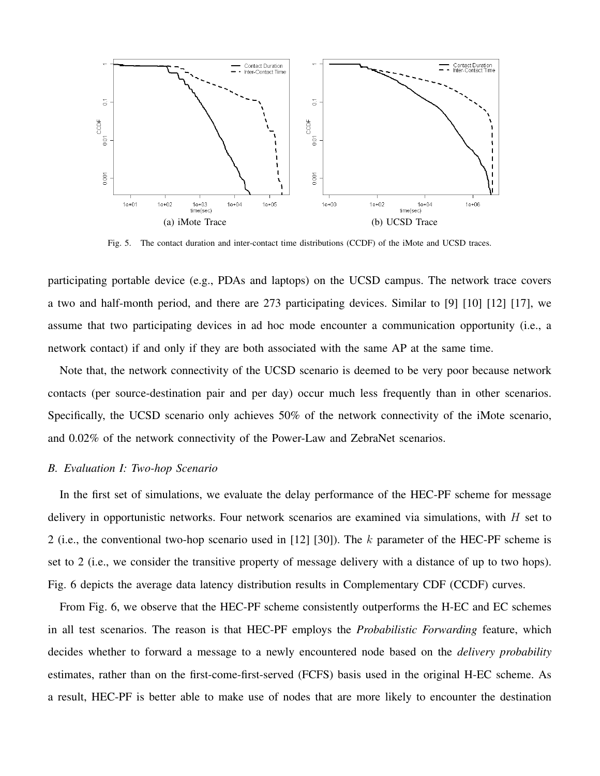

Fig. 5. The contact duration and inter-contact time distributions (CCDF) of the iMote and UCSD traces.

participating portable device (e.g., PDAs and laptops) on the UCSD campus. The network trace covers a two and half-month period, and there are 273 participating devices. Similar to [9] [10] [12] [17], we assume that two participating devices in ad hoc mode encounter a communication opportunity (i.e., a network contact) if and only if they are both associated with the same AP at the same time.

Note that, the network connectivity of the UCSD scenario is deemed to be very poor because network contacts (per source-destination pair and per day) occur much less frequently than in other scenarios. Specifically, the UCSD scenario only achieves 50% of the network connectivity of the iMote scenario, and 0.02% of the network connectivity of the Power-Law and ZebraNet scenarios.

#### *B. Evaluation I: Two-hop Scenario*

In the first set of simulations, we evaluate the delay performance of the HEC-PF scheme for message delivery in opportunistic networks. Four network scenarios are examined via simulations, with  $H$  set to 2 (i.e., the conventional two-hop scenario used in  $[12]$  [30]). The k parameter of the HEC-PF scheme is set to 2 (i.e., we consider the transitive property of message delivery with a distance of up to two hops). Fig. 6 depicts the average data latency distribution results in Complementary CDF (CCDF) curves.

From Fig. 6, we observe that the HEC-PF scheme consistently outperforms the H-EC and EC schemes in all test scenarios. The reason is that HEC-PF employs the *Probabilistic Forwarding* feature, which decides whether to forward a message to a newly encountered node based on the *delivery probability* estimates, rather than on the first-come-first-served (FCFS) basis used in the original H-EC scheme. As a result, HEC-PF is better able to make use of nodes that are more likely to encounter the destination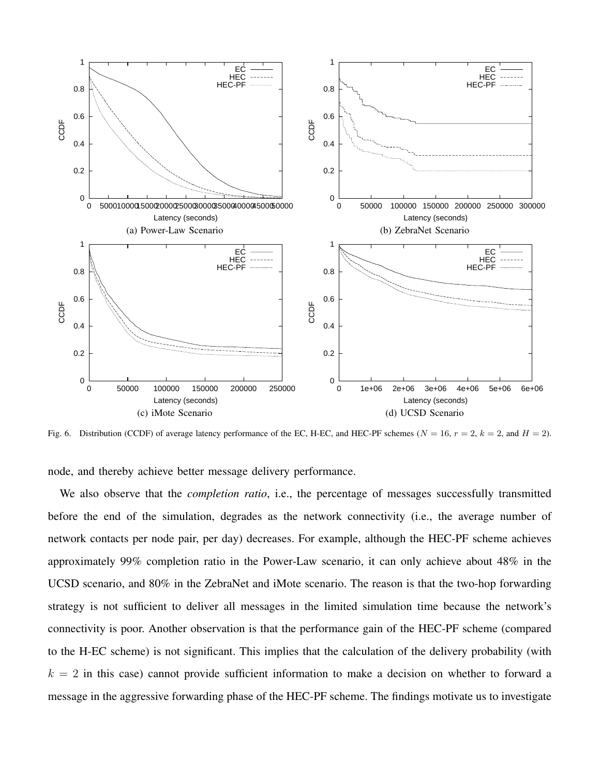

Fig. 6. Distribution (CCDF) of average latency performance of the EC, H-EC, and HEC-PF schemes ( $N = 16$ ,  $r = 2$ ,  $k = 2$ , and  $H = 2$ ).

node, and thereby achieve better message delivery performance.

We also observe that the *completion ratio*, i.e., the percentage of messages successfully transmitted before the end of the simulation, degrades as the network connectivity (i.e., the average number of network contacts per node pair, per day) decreases. For example, although the HEC-PF scheme achieves approximately 99% completion ratio in the Power-Law scenario, it can only achieve about 48% in the UCSD scenario, and 80% in the ZebraNet and iMote scenario. The reason is that the two-hop forwarding strategy is not sufficient to deliver all messages in the limited simulation time because the network's connectivity is poor. Another observation is that the performance gain of the HEC-PF scheme (compared to the H-EC scheme) is not significant. This implies that the calculation of the delivery probability (with  $k = 2$  in this case) cannot provide sufficient information to make a decision on whether to forward a message in the aggressive forwarding phase of the HEC-PF scheme. The findings motivate us to investigate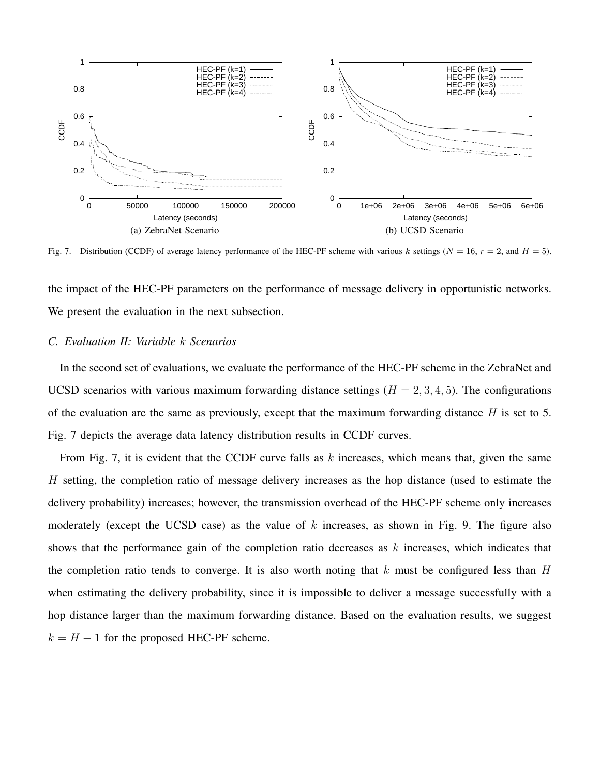

Fig. 7. Distribution (CCDF) of average latency performance of the HEC-PF scheme with various k settings ( $N = 16$ ,  $r = 2$ , and  $H = 5$ ).

the impact of the HEC-PF parameters on the performance of message delivery in opportunistic networks. We present the evaluation in the next subsection.

#### *C. Evaluation II: Variable* k *Scenarios*

In the second set of evaluations, we evaluate the performance of the HEC-PF scheme in the ZebraNet and UCSD scenarios with various maximum forwarding distance settings  $(H = 2, 3, 4, 5)$ . The configurations of the evaluation are the same as previously, except that the maximum forwarding distance  $H$  is set to 5. Fig. 7 depicts the average data latency distribution results in CCDF curves.

From Fig. 7, it is evident that the CCDF curve falls as  $k$  increases, which means that, given the same H setting, the completion ratio of message delivery increases as the hop distance (used to estimate the delivery probability) increases; however, the transmission overhead of the HEC-PF scheme only increases moderately (except the UCSD case) as the value of k increases, as shown in Fig. 9. The figure also shows that the performance gain of the completion ratio decreases as  $k$  increases, which indicates that the completion ratio tends to converge. It is also worth noting that k must be configured less than  $H$ when estimating the delivery probability, since it is impossible to deliver a message successfully with a hop distance larger than the maximum forwarding distance. Based on the evaluation results, we suggest  $k = H - 1$  for the proposed HEC-PF scheme.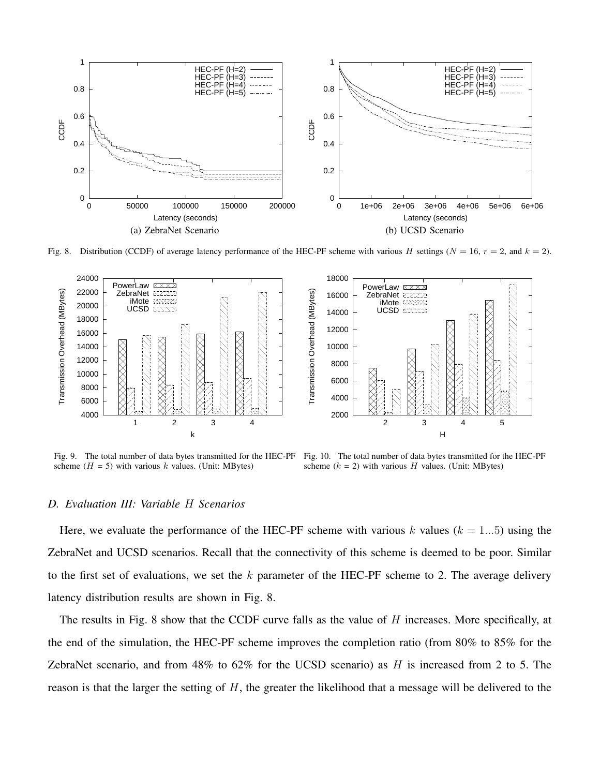

Fig. 8. Distribution (CCDF) of average latency performance of the HEC-PF scheme with various H settings ( $N = 16$ ,  $r = 2$ , and  $k = 2$ ).



Fig. 9. The total number of data bytes transmitted for the HEC-PF scheme ( $H = 5$ ) with various k values. (Unit: MBytes)

Fig. 10. The total number of data bytes transmitted for the HEC-PF scheme  $(k = 2)$  with various H values. (Unit: MBytes)

#### *D. Evaluation III: Variable* H *Scenarios*

Here, we evaluate the performance of the HEC-PF scheme with various k values ( $k = 1...5$ ) using the ZebraNet and UCSD scenarios. Recall that the connectivity of this scheme is deemed to be poor. Similar to the first set of evaluations, we set the  $k$  parameter of the HEC-PF scheme to 2. The average delivery latency distribution results are shown in Fig. 8.

The results in Fig. 8 show that the CCDF curve falls as the value of H increases. More specifically, at the end of the simulation, the HEC-PF scheme improves the completion ratio (from 80% to 85% for the ZebraNet scenario, and from  $48\%$  to  $62\%$  for the UCSD scenario) as H is increased from 2 to 5. The reason is that the larger the setting of  $H$ , the greater the likelihood that a message will be delivered to the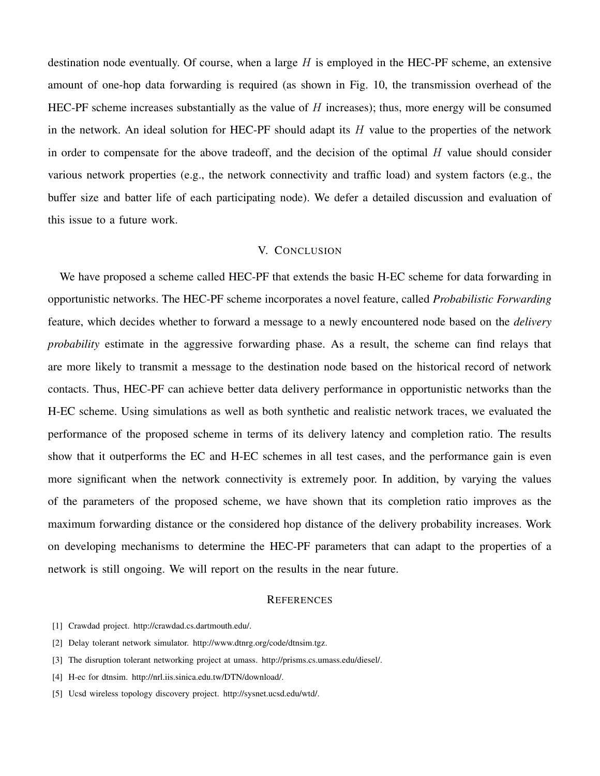destination node eventually. Of course, when a large  $H$  is employed in the HEC-PF scheme, an extensive amount of one-hop data forwarding is required (as shown in Fig. 10, the transmission overhead of the HEC-PF scheme increases substantially as the value of  $H$  increases); thus, more energy will be consumed in the network. An ideal solution for HEC-PF should adapt its  $H$  value to the properties of the network in order to compensate for the above tradeoff, and the decision of the optimal  $H$  value should consider various network properties (e.g., the network connectivity and traffic load) and system factors (e.g., the buffer size and batter life of each participating node). We defer a detailed discussion and evaluation of this issue to a future work.

#### V. CONCLUSION

We have proposed a scheme called HEC-PF that extends the basic H-EC scheme for data forwarding in opportunistic networks. The HEC-PF scheme incorporates a novel feature, called *Probabilistic Forwarding* feature, which decides whether to forward a message to a newly encountered node based on the *delivery probability* estimate in the aggressive forwarding phase. As a result, the scheme can find relays that are more likely to transmit a message to the destination node based on the historical record of network contacts. Thus, HEC-PF can achieve better data delivery performance in opportunistic networks than the H-EC scheme. Using simulations as well as both synthetic and realistic network traces, we evaluated the performance of the proposed scheme in terms of its delivery latency and completion ratio. The results show that it outperforms the EC and H-EC schemes in all test cases, and the performance gain is even more significant when the network connectivity is extremely poor. In addition, by varying the values of the parameters of the proposed scheme, we have shown that its completion ratio improves as the maximum forwarding distance or the considered hop distance of the delivery probability increases. Work on developing mechanisms to determine the HEC-PF parameters that can adapt to the properties of a network is still ongoing. We will report on the results in the near future.

#### **REFERENCES**

- [1] Crawdad project. http://crawdad.cs.dartmouth.edu/.
- [2] Delay tolerant network simulator. http://www.dtnrg.org/code/dtnsim.tgz.
- [3] The disruption tolerant networking project at umass. http://prisms.cs.umass.edu/diesel/.
- [4] H-ec for dtnsim. http://nrl.iis.sinica.edu.tw/DTN/download/.
- [5] Ucsd wireless topology discovery project. http://sysnet.ucsd.edu/wtd/.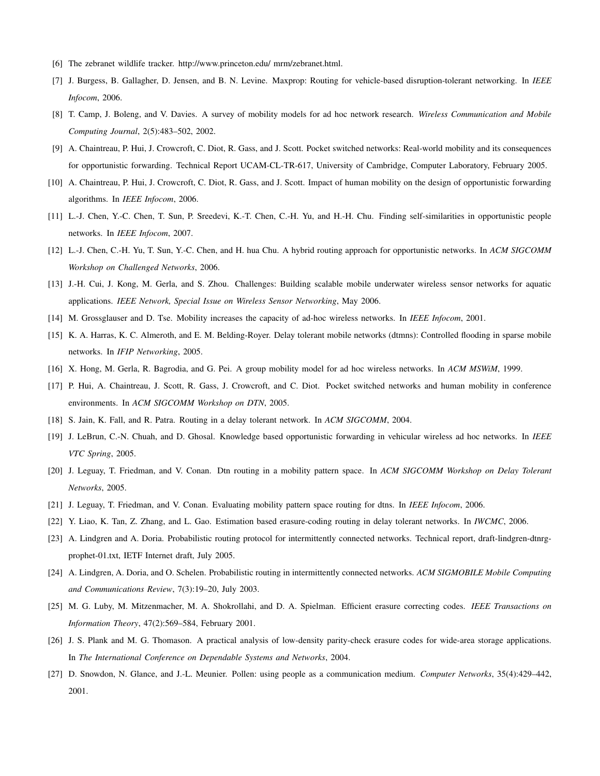- [6] The zebranet wildlife tracker. http://www.princeton.edu/ mrm/zebranet.html.
- [7] J. Burgess, B. Gallagher, D. Jensen, and B. N. Levine. Maxprop: Routing for vehicle-based disruption-tolerant networking. In *IEEE Infocom*, 2006.
- [8] T. Camp, J. Boleng, and V. Davies. A survey of mobility models for ad hoc network research. *Wireless Communication and Mobile Computing Journal*, 2(5):483–502, 2002.
- [9] A. Chaintreau, P. Hui, J. Crowcroft, C. Diot, R. Gass, and J. Scott. Pocket switched networks: Real-world mobility and its consequences for opportunistic forwarding. Technical Report UCAM-CL-TR-617, University of Cambridge, Computer Laboratory, February 2005.
- [10] A. Chaintreau, P. Hui, J. Crowcroft, C. Diot, R. Gass, and J. Scott. Impact of human mobility on the design of opportunistic forwarding algorithms. In *IEEE Infocom*, 2006.
- [11] L.-J. Chen, Y.-C. Chen, T. Sun, P. Sreedevi, K.-T. Chen, C.-H. Yu, and H.-H. Chu. Finding self-similarities in opportunistic people networks. In *IEEE Infocom*, 2007.
- [12] L.-J. Chen, C.-H. Yu, T. Sun, Y.-C. Chen, and H. hua Chu. A hybrid routing approach for opportunistic networks. In *ACM SIGCOMM Workshop on Challenged Networks*, 2006.
- [13] J.-H. Cui, J. Kong, M. Gerla, and S. Zhou. Challenges: Building scalable mobile underwater wireless sensor networks for aquatic applications. *IEEE Network, Special Issue on Wireless Sensor Networking*, May 2006.
- [14] M. Grossglauser and D. Tse. Mobility increases the capacity of ad-hoc wireless networks. In *IEEE Infocom*, 2001.
- [15] K. A. Harras, K. C. Almeroth, and E. M. Belding-Royer. Delay tolerant mobile networks (dtmns): Controlled flooding in sparse mobile networks. In *IFIP Networking*, 2005.
- [16] X. Hong, M. Gerla, R. Bagrodia, and G. Pei. A group mobility model for ad hoc wireless networks. In *ACM MSWiM*, 1999.
- [17] P. Hui, A. Chaintreau, J. Scott, R. Gass, J. Crowcroft, and C. Diot. Pocket switched networks and human mobility in conference environments. In *ACM SIGCOMM Workshop on DTN*, 2005.
- [18] S. Jain, K. Fall, and R. Patra. Routing in a delay tolerant network. In *ACM SIGCOMM*, 2004.
- [19] J. LeBrun, C.-N. Chuah, and D. Ghosal. Knowledge based opportunistic forwarding in vehicular wireless ad hoc networks. In *IEEE VTC Spring*, 2005.
- [20] J. Leguay, T. Friedman, and V. Conan. Dtn routing in a mobility pattern space. In *ACM SIGCOMM Workshop on Delay Tolerant Networks*, 2005.
- [21] J. Leguay, T. Friedman, and V. Conan. Evaluating mobility pattern space routing for dtns. In *IEEE Infocom*, 2006.
- [22] Y. Liao, K. Tan, Z. Zhang, and L. Gao. Estimation based erasure-coding routing in delay tolerant networks. In *IWCMC*, 2006.
- [23] A. Lindgren and A. Doria. Probabilistic routing protocol for intermittently connected networks. Technical report, draft-lindgren-dtnrgprophet-01.txt, IETF Internet draft, July 2005.
- [24] A. Lindgren, A. Doria, and O. Schelen. Probabilistic routing in intermittently connected networks. *ACM SIGMOBILE Mobile Computing and Communications Review*, 7(3):19–20, July 2003.
- [25] M. G. Luby, M. Mitzenmacher, M. A. Shokrollahi, and D. A. Spielman. Efficient erasure correcting codes. *IEEE Transactions on Information Theory*, 47(2):569–584, February 2001.
- [26] J. S. Plank and M. G. Thomason. A practical analysis of low-density parity-check erasure codes for wide-area storage applications. In *The International Conference on Dependable Systems and Networks*, 2004.
- [27] D. Snowdon, N. Glance, and J.-L. Meunier. Pollen: using people as a communication medium. *Computer Networks*, 35(4):429–442, 2001.